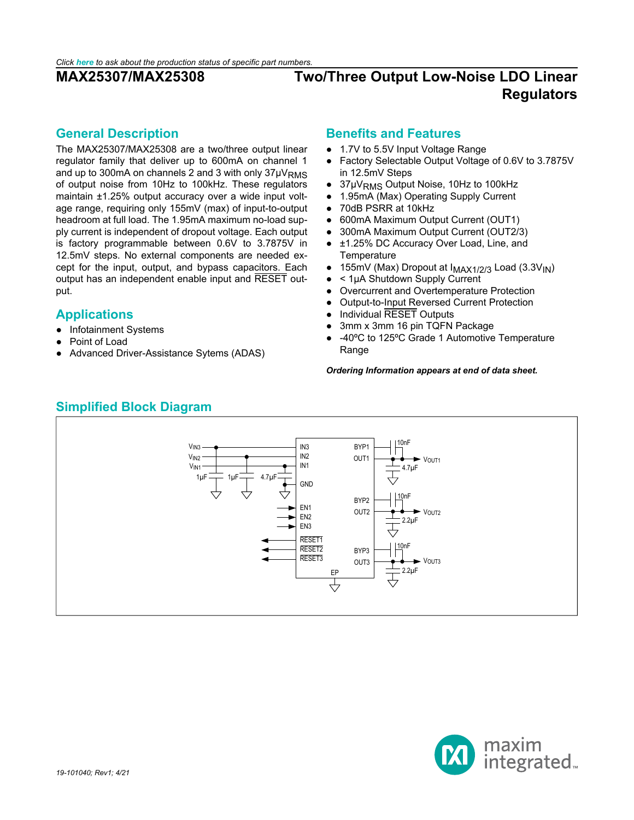### <span id="page-0-0"></span>**General Description**

The MAX25307/MAX25308 are a two/three output linear regulator family that deliver up to 600mA on channel 1 and up to 300mA on channels 2 and 3 with only  $37\mu V_{RMS}$ of output noise from 10Hz to 100kHz. These regulators maintain ±1.25% output accuracy over a wide input voltage range, requiring only 155mV (max) of input-to-output headroom at full load. The 1.95mA maximum no-load supply current is independent of dropout voltage. Each output is factory programmable between 0.6V to 3.7875V in 12.5mV steps. No external components are needed except for the input, output, and bypass capacitors. Each output has an independent enable input and RESET output.

## <span id="page-0-1"></span>**Applications**

- Infotainment Systems
- Point of Load
- Advanced Driver-Assistance Sytems (ADAS)

### **Benefits and Features**

- 1.7V to 5.5V Input Voltage Range
- Factory Selectable Output Voltage of 0.6V to 3.7875V in 12.5mV Steps
- 37μV<sub>RMS</sub> Output Noise, 10Hz to 100kHz
- 1.95mA (Max) Operating Supply Current
- 70dB PSRR at 10kHz
- 600mA Maximum Output Current (OUT1)
- 300mA Maximum Output Current (OUT2/3)
- ±1.25% DC Accuracy Over Load, Line, and **Temperature**
- 155mV (Max) Dropout at  $I_{MAX1/2/3}$  Load (3.3V<sub>IN</sub>)<br>●  $\leq 1.1$ A Shutdown Supply Current
- $<$  1µA Shutdown Supply Current
- Overcurrent and Overtemperature Protection
- Output-to-Input Reversed Current Protection
- **Individual RESET Outputs**
- 3mm x 3mm 16 pin TQFN Package
- -40°C to 125°C Grade 1 Automotive Temperature Range

### *Ordering Information appears at end of data sheet.*

<span id="page-0-2"></span>

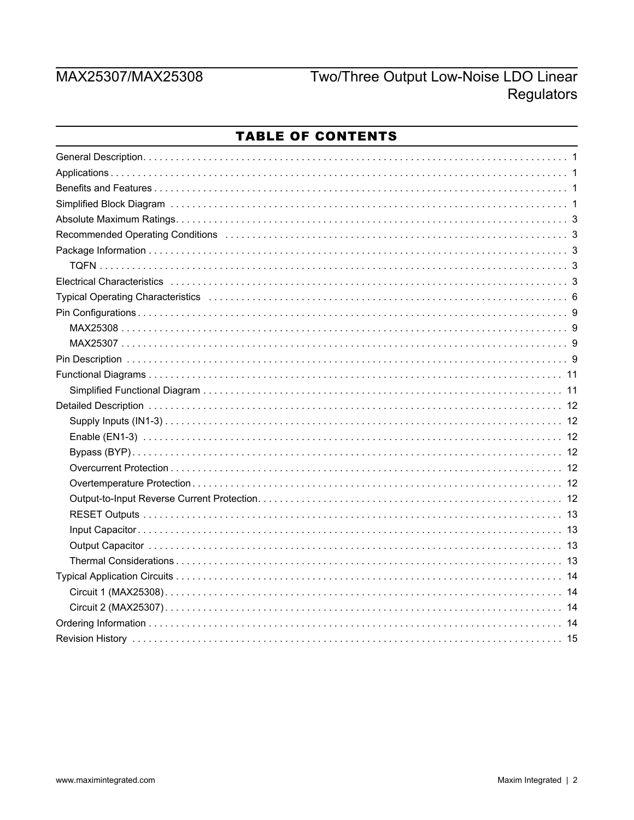# MAX25307/MAX25308

# Two/Three Output Low-Noise LDO Linear Regulators

| TABLE OF CONTENTS                                                                                                                                                                                                              |
|--------------------------------------------------------------------------------------------------------------------------------------------------------------------------------------------------------------------------------|
|                                                                                                                                                                                                                                |
|                                                                                                                                                                                                                                |
|                                                                                                                                                                                                                                |
|                                                                                                                                                                                                                                |
|                                                                                                                                                                                                                                |
| Recommended Operating Conditions (and according to the control of the commended Operating Conditions (and according to the control of the comment of the comment of the comment of the comment of the comment of the comment o |
|                                                                                                                                                                                                                                |
|                                                                                                                                                                                                                                |
|                                                                                                                                                                                                                                |
| Typical Operating Characteristics (and according contract to contact the contract of the form of the contract to the form of the contract of the contract of the contract of the contract of the contract of the contract of t |
|                                                                                                                                                                                                                                |
|                                                                                                                                                                                                                                |
|                                                                                                                                                                                                                                |
|                                                                                                                                                                                                                                |
|                                                                                                                                                                                                                                |
|                                                                                                                                                                                                                                |
|                                                                                                                                                                                                                                |
|                                                                                                                                                                                                                                |
|                                                                                                                                                                                                                                |
|                                                                                                                                                                                                                                |
|                                                                                                                                                                                                                                |
|                                                                                                                                                                                                                                |
|                                                                                                                                                                                                                                |
|                                                                                                                                                                                                                                |
|                                                                                                                                                                                                                                |
|                                                                                                                                                                                                                                |
|                                                                                                                                                                                                                                |
|                                                                                                                                                                                                                                |
|                                                                                                                                                                                                                                |
|                                                                                                                                                                                                                                |
|                                                                                                                                                                                                                                |
|                                                                                                                                                                                                                                |

### . . . . . ò  $\sim$   $\sim$   $\sim$   $\sim$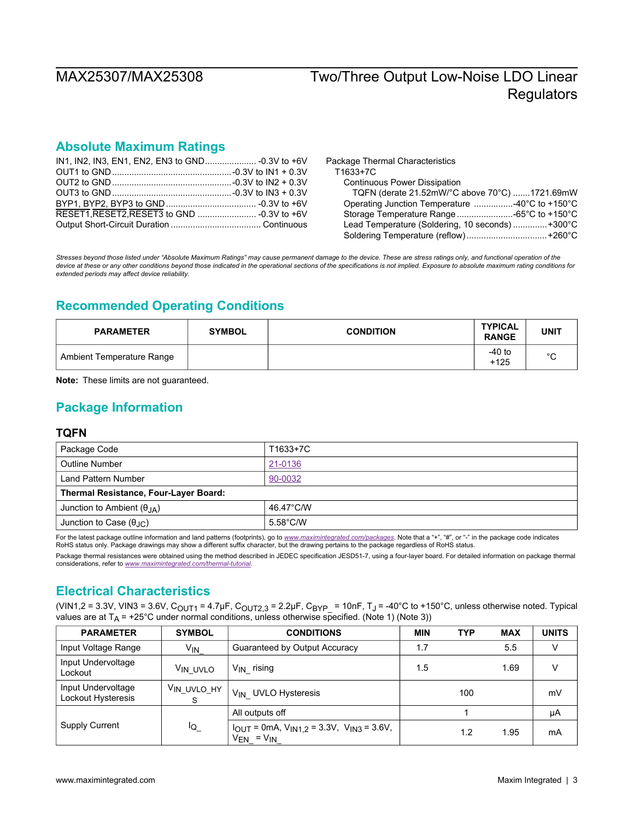## <span id="page-2-0"></span>**Absolute Maximum Ratings**

Package Thermal Characteristics T1633+7C Continuous Power Dissipation TQFN (derate 21.52mW/°C above 70°C) .......1721.69mW Operating Junction Temperature ................-40°C to +150°C Storage Temperature Range.......................-65°C to +150°C Lead Temperature (Soldering, 10 seconds) ..............+300°C Soldering Temperature (reflow).................................+260°C

*Stresses beyond those listed under "Absolute Maximum Ratings" may cause permanent damage to the device. These are stress ratings only, and functional operation of the device at these or any other conditions beyond those indicated in the operational sections of the specifications is not implied. Exposure to absolute maximum rating conditions for extended periods may affect device reliability.*

# <span id="page-2-1"></span>**Recommended Operating Conditions**

| <b>PARAMETER</b>          | <b>SYMBOL</b> | <b>CONDITION</b> | TYPICAL<br><b>RANGE</b> | UNIT    |
|---------------------------|---------------|------------------|-------------------------|---------|
| Ambient Temperature Range |               |                  | $-40$ to<br>$+125$      | $\circ$ |

**Note:** These limits are not guaranteed.

## <span id="page-2-2"></span>**Package Information**

### <span id="page-2-3"></span>**TQFN**

| Package Code                                 | T1633+7C           |
|----------------------------------------------|--------------------|
| Outline Number                               | 21-0136            |
| Land Pattern Number                          | 90-0032            |
| <b>Thermal Resistance, Four-Layer Board:</b> |                    |
| Junction to Ambient $(\theta_{IA})$          | 46.47°C/W          |
| Junction to Case $(\theta_{\text{AC}})$      | $5.58^{\circ}$ C/W |

For the latest package outline information and land patterns (footprints), go to *[www.maximintegrated.com/packages](http://www.maximintegrated.com/packages)*. Note that a "+", "#", or "-" in the package code indicates RoHS status only. Package drawings may show a different suffix character, but the drawing pertains to the package regardless of RoHS status.

Package thermal resistances were obtained using the method described in JEDEC specification JESD51-7, using a four-layer board. For detailed information on package thermal considerations, refer to *[www.maximintegrated.com/thermal-tutorial](http://www.maximintegrated.com/thermal-tutorial)*.

## <span id="page-2-4"></span>**Electrical Characteristics**

(VIN1,2 = 3.3V, VIN3 = 3.6V, C<sub>OUT1</sub> = 4.7µF, C<sub>OUT2.3</sub> = 2.2µF, C<sub>BYP</sub> = 10nF, T<sub>J</sub> = -40°C to +150°C, unless otherwise noted. Typical values are at  $T_A$  = +25°C under normal conditions, unless otherwise specified. (Note 1) (Note 3))

| <b>PARAMETER</b>                         | <b>SYMBOL</b>           | <b>CONDITIONS</b>                                                                    | <b>MIN</b> | <b>TYP</b> | <b>MAX</b> | <b>UNITS</b> |
|------------------------------------------|-------------------------|--------------------------------------------------------------------------------------|------------|------------|------------|--------------|
| Input Voltage Range                      | $V_{IN}$                | Guaranteed by Output Accuracy                                                        | 1.7        |            | 5.5        | v            |
| Input Undervoltage<br>Lockout            | V <sub>IN UVLO</sub>    | rising<br>V <sub>IN</sub>                                                            | 1.5        |            | 1.69       | v            |
| Input Undervoltage<br>Lockout Hysteresis | V <sub>IN UVLO_HY</sub> | V <sub>IN</sub> UVLO Hysteresis                                                      |            | 100        |            | mV           |
|                                          |                         | All outputs off                                                                      |            |            |            | μA           |
| <b>Supply Current</b>                    | $I_{\mathsf{Q}_-}$      | $I_{OUT}$ = 0mA, $V_{IN1.2}$ = 3.3V, $V_{IN3}$ = 3.6V,<br>$= V_{IN}$<br>$V_{\sf EN}$ |            | 1.2        | 1.95       | mA           |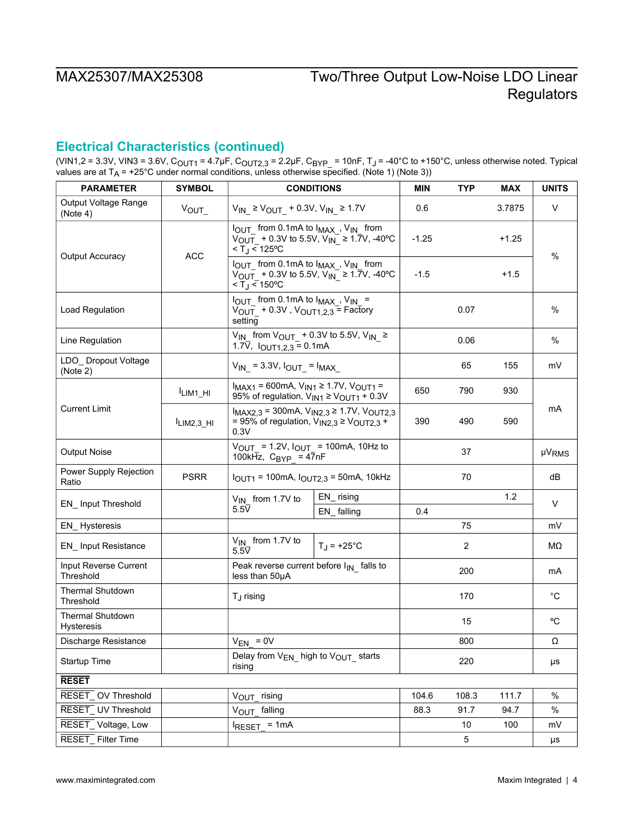# **Electrical Characteristics (continued)**

(VIN1,2 = 3.3V, VIN3 = 3.6V, C<sub>OUT1</sub> = 4.7µF, C<sub>OUT2,3</sub> = 2.2µF, C<sub>BYP\_</sub> = 10nF, T<sub>J</sub> = -40°C to +150°C, unless otherwise noted. Typical values are at T<sub>A</sub> = +25°C under normal conditions, unless otherwise specified. (Note 1) (Note 3))

| <b>PARAMETER</b>                      | <b>SYMBOL</b>       |                                                                                                                                                                          | <b>CONDITIONS</b>                                                                                           | MIN     | <b>TYP</b> | <b>MAX</b> | <b>UNITS</b> |  |
|---------------------------------------|---------------------|--------------------------------------------------------------------------------------------------------------------------------------------------------------------------|-------------------------------------------------------------------------------------------------------------|---------|------------|------------|--------------|--|
| Output Voltage Range<br>(Note 4)      | $V_{\text{OUT}}$    | $V_{IN}$ ≥ $V_{OUT}$ + 0.3V, $V_{IN}$ ≥ 1.7V                                                                                                                             |                                                                                                             | 0.6     |            | 3.7875     | $\vee$       |  |
|                                       |                     | I <sub>OUT</sub> from 0.1mA to I <sub>MAX</sub> , V <sub>IN</sub> from<br>$V_{\text{OUT}}$ + 0.3V to 5.5V, V <sub>IN</sub> ≥ 1.7V, -40°C<br>$<$ T <sub>J</sub> $<$ 125°C |                                                                                                             | $-1.25$ |            | +1.25      |              |  |
| Output Accuracy                       | <b>ACC</b>          | I <sub>OUT</sub> from 0.1mA to I <sub>MAX</sub> , V <sub>IN</sub> from<br>$<$ T <sub>J</sub> $<$ 150 °C                                                                  | $V_{\text{OUT}}$ + 0.3V to 5.5V, V <sub>IN</sub> ≥ 1.7V, -40°C                                              | $-1.5$  |            | $+1.5$     | %            |  |
| Load Regulation                       |                     | $I_{OUT}$ from 0.1mA to $I_{MAX}$ , $V_{IN}$ =<br>$V_{\text{OUT}}$ + 0.3V, $V_{\text{OUT1,2,3}}$ = Factory<br>setting                                                    |                                                                                                             |         | 0.07       |            | $\%$         |  |
| Line Regulation                       |                     | $V_{IN}$ from $V_{OUT}$ + 0.3V to 5.5V, $V_{IN}$ ≥<br>1.7 $\overline{V}$ , $I_{\text{OUT1,2,3}} = 0.1 \text{mA}$                                                         |                                                                                                             |         | 0.06       |            | %            |  |
| LDO_ Dropout Voltage<br>(Note 2)      |                     | $V_{IN}$ = 3.3V, $I_{OUT}$ = $I_{MAX}$                                                                                                                                   |                                                                                                             |         | 65         | 155        | mV           |  |
|                                       | LIM <sub>1_HI</sub> | $I_{MAX1}$ = 600mA, $V_{IN1}$ ≥ 1.7V, $V_{OUT1}$ =<br>95% of regulation, $V_{IN1} \ge V_{OUT1} + 0.3V$                                                                   |                                                                                                             | 650     | 790        | 930        |              |  |
| <b>Current Limit</b>                  | $ILIM2,3$ HI        | 0.3V                                                                                                                                                                     | $I_{MAX2,3}$ = 300mA, $V_{IN2,3}$ ≥ 1.7V, $V_{OUT2,3}$<br>= 95% of regulation, $V_{IN2,3} \ge V_{OUT2,3}$ + |         | 490        | 590        | mA           |  |
| <b>Output Noise</b>                   |                     | 100kHz, $C_{BYP}$ = 47nF                                                                                                                                                 | $V_{OUT}$ = 1.2V, $I_{OUT}$ = 100mA, 10Hz to                                                                |         | 37         |            | <b>µVRMS</b> |  |
| Power Supply Rejection<br>Ratio       | <b>PSRR</b>         |                                                                                                                                                                          | $I_{OUT1}$ = 100mA, $I_{OUT2,3}$ = 50mA, 10kHz                                                              |         | 70         |            | dB           |  |
| EN_Input Threshold                    |                     | $V_{IN}$ from 1.7V to                                                                                                                                                    | EN_rising                                                                                                   |         |            | 1.2        | V            |  |
|                                       |                     | $5.5\overline{V}$                                                                                                                                                        | EN_falling                                                                                                  | 0.4     |            |            |              |  |
| EN_Hysteresis                         |                     |                                                                                                                                                                          |                                                                                                             |         | 75         |            | mV           |  |
| <b>EN_Input Resistance</b>            |                     | V <sub>IN</sub> from 1.7V to<br>$5.5\overline{V}$                                                                                                                        | $T_{\rm J}$ = +25°C                                                                                         |         | 2          |            | МΩ           |  |
| Input Reverse Current<br>Threshold    |                     | Peak reverse current before $I_{IN}$ falls to<br>less than 50µA                                                                                                          |                                                                                                             |         | 200        |            | mA           |  |
| <b>Thermal Shutdown</b><br>Threshold  |                     | T <sub>J</sub> rising                                                                                                                                                    |                                                                                                             |         | 170        |            | $^{\circ}C$  |  |
| <b>Thermal Shutdown</b><br>Hysteresis |                     |                                                                                                                                                                          |                                                                                                             |         | 15         |            | °C           |  |
| Discharge Resistance                  |                     | $V_{EN} = 0V$                                                                                                                                                            |                                                                                                             |         | 800        |            | Ω            |  |
| Startup Time                          |                     | Delay from $V_{EN}$ high to $V_{OUT}$ starts<br>rising                                                                                                                   |                                                                                                             |         | 220        |            | μs           |  |
| <b>RESET</b>                          |                     |                                                                                                                                                                          |                                                                                                             |         |            |            |              |  |
| RESET_OV Threshold                    |                     | V <sub>OUT</sub> rising                                                                                                                                                  |                                                                                                             | 104.6   | 108.3      | 111.7      | %            |  |
| RESET_UV Threshold                    |                     | VOUT falling                                                                                                                                                             |                                                                                                             | 88.3    | 91.7       | 94.7       | %            |  |
| RESET_Voltage, Low                    |                     | $I_{RESET}$ = 1mA                                                                                                                                                        |                                                                                                             |         | $10\,$     | 100        | mV           |  |
| RESET_Filter Time                     |                     |                                                                                                                                                                          |                                                                                                             |         | 5          |            | μs           |  |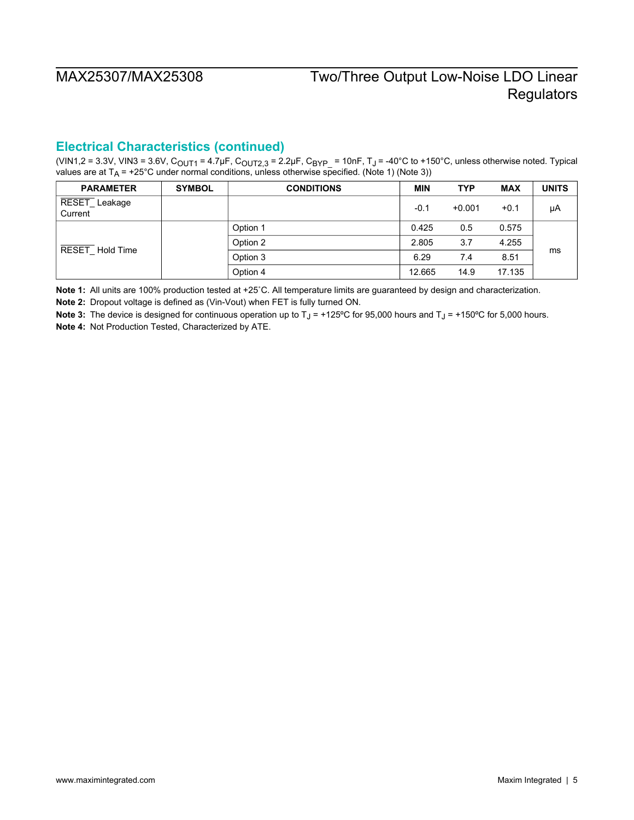## **Electrical Characteristics (continued)**

(VIN1,2 = 3.3V, VIN3 = 3.6V, C<sub>OUT1</sub> = 4.7µF, C<sub>OUT2,3</sub> = 2.2µF, C<sub>BYP\_</sub> = 10nF, T<sub>J</sub> = -40°C to +150°C, unless otherwise noted. Typical values are at T<sub>A</sub> = +25°C under normal conditions, unless otherwise specified. (Note 1) (Note 3))

| <b>PARAMETER</b>         | <b>SYMBOL</b> | <b>CONDITIONS</b> | MIN    | <b>TYP</b> | <b>MAX</b> | <b>UNITS</b> |
|--------------------------|---------------|-------------------|--------|------------|------------|--------------|
| RESET_Leakage<br>Current |               |                   | $-0.1$ | $+0.001$   | $+0.1$     | μA           |
| RESET Hold Time          |               | Option 1          | 0.425  | 0.5        | 0.575      |              |
|                          |               | Option 2          | 2.805  | 3.7        | 4.255      |              |
|                          |               | Option 3          | 6.29   | 7.4        | 8.51       | ms           |
|                          |               | Option 4          | 12.665 | 14.9       | 17.135     |              |

**Note 1:** All units are 100% production tested at +25˚C. All temperature limits are guaranteed by design and characterization.

**Note 2:** Dropout voltage is defined as (Vin-Vout) when FET is fully turned ON.

Note 3: The device is designed for continuous operation up to T<sub>J</sub> = +125°C for 95,000 hours and T<sub>J</sub> = +150°C for 5,000 hours. **Note 4:** Not Production Tested, Characterized by ATE.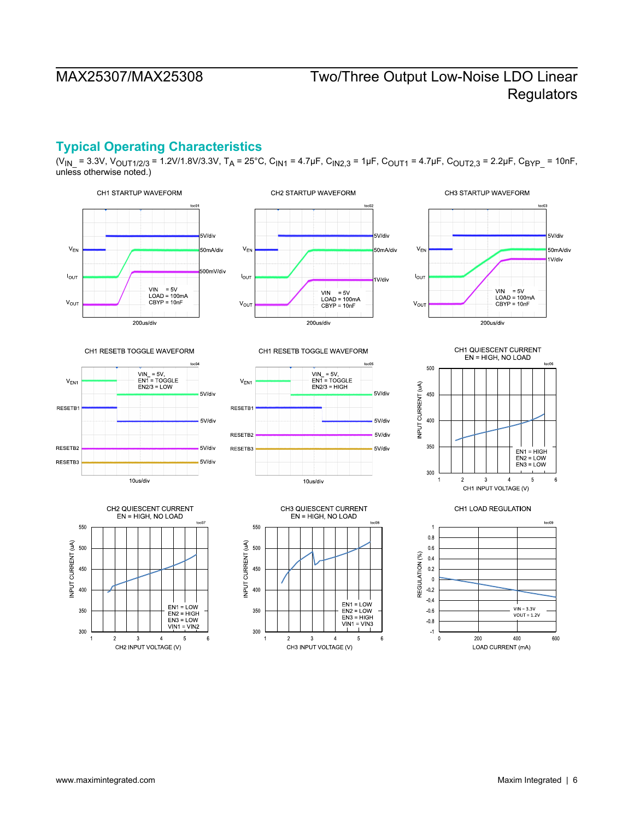## <span id="page-5-0"></span>**Typical Operating Characteristics**

 $(V_{IN} = 3.3V, V_{OUT1/2/3} = 1.2V/1.8V/3.3V, T_A = 25°C, C<sub>IN1</sub> = 4.7\mu F, C<sub>IN2,3</sub> = 1\mu F, C<sub>OUT1</sub> = 4.7\mu F, C<sub>OUT2,3</sub> = 2.2\mu F, C<sub>BYP</sub> = 10nF,$ unless otherwise noted.)

CH2 STARTUP WAVEFORM







CH1 RESETB TOGGLE WAVEFORM





CH1 RESETB TOGGLE WAVEFORM









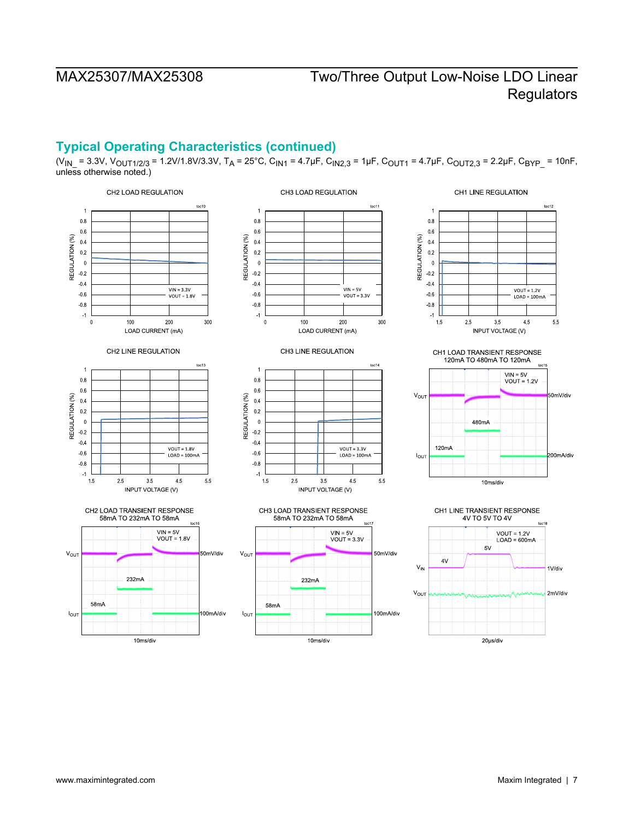## **Typical Operating Characteristics (continued)**

(V<sub>IN</sub> = 3.3V, V<sub>OUT1/2/3</sub> = 1.2V/1.8V/3.3V, T<sub>A</sub> = 25°C, C<sub>IN1</sub> = 4.7µF, C<sub>IN2,3</sub> = 1µF, C<sub>OUT1</sub> = 4.7µF, C<sub>OUT2,3</sub> = 2.2µF, C<sub>BYP</sub> = 10nF, unless otherwise noted.)

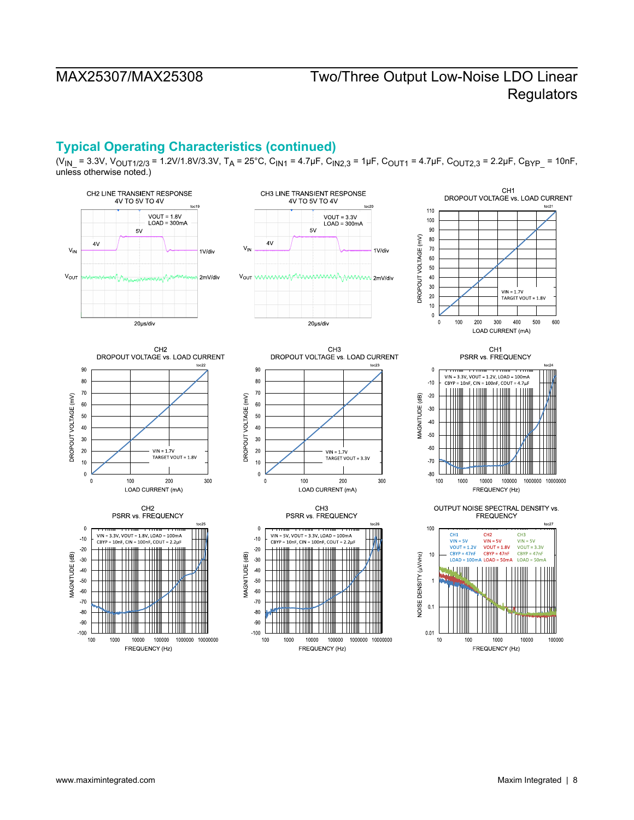## **Typical Operating Characteristics (continued)**

(V<sub>IN</sub> = 3.3V, V<sub>OUT1/2/3</sub> = 1.2V/1.8V/3.3V, T<sub>A</sub> = 25°C, C<sub>IN1</sub> = 4.7µF, C<sub>IN2,3</sub> = 1µF, C<sub>OUT1</sub> = 4.7µF, C<sub>OUT2,3</sub> = 2.2µF, C<sub>BYP</sub> = 10nF, unless otherwise noted.)

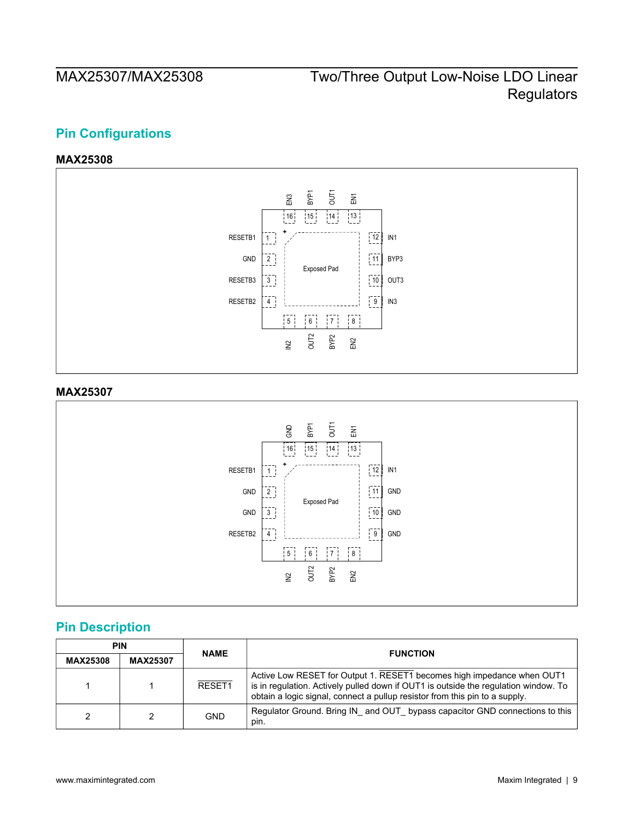# <span id="page-8-0"></span>**Pin Configurations**

### **MAX25308**

<span id="page-8-1"></span>

### <span id="page-8-2"></span>**MAX25307**



# <span id="page-8-3"></span>**Pin Description**

|                 | <b>PIN</b>      | <b>NAME</b> | <b>FUNCTION</b>                                                                                                                                                                                                                              |  |  |  |
|-----------------|-----------------|-------------|----------------------------------------------------------------------------------------------------------------------------------------------------------------------------------------------------------------------------------------------|--|--|--|
| <b>MAX25308</b> | <b>MAX25307</b> |             |                                                                                                                                                                                                                                              |  |  |  |
|                 |                 | RESET1      | Active Low RESET for Output 1. RESET1 becomes high impedance when OUT1<br>is in regulation. Actively pulled down if OUT1 is outside the regulation window. To<br>obtain a logic signal, connect a pullup resistor from this pin to a supply. |  |  |  |
| 2               |                 | <b>GND</b>  | Regulator Ground. Bring IN and OUT bypass capacitor GND connections to this<br>pin.                                                                                                                                                          |  |  |  |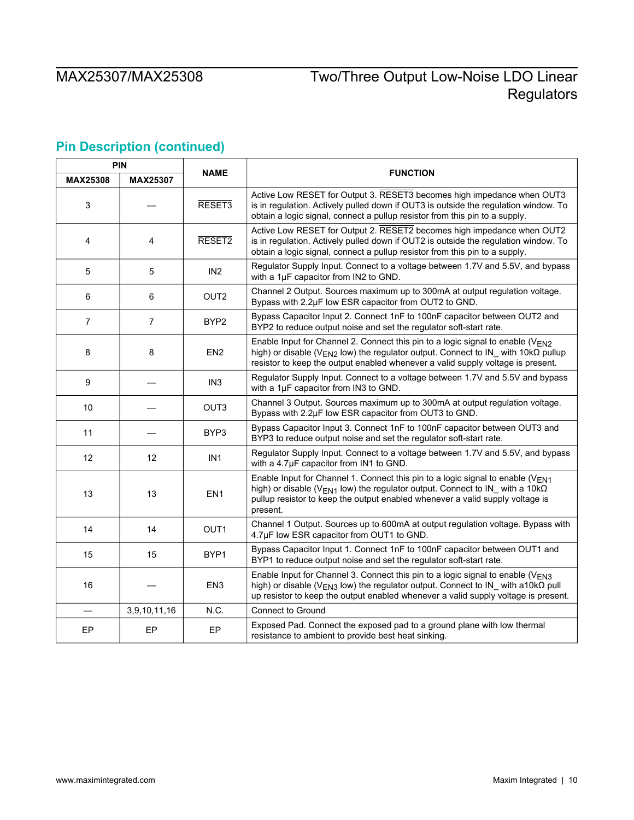# **Pin Description (continued)**

|                 | <b>PIN</b>      |                    |                                                                                                                                                                                                                                                                                |
|-----------------|-----------------|--------------------|--------------------------------------------------------------------------------------------------------------------------------------------------------------------------------------------------------------------------------------------------------------------------------|
| <b>MAX25308</b> | <b>MAX25307</b> | <b>NAME</b>        | <b>FUNCTION</b>                                                                                                                                                                                                                                                                |
| 3               |                 | RESET <sub>3</sub> | Active Low RESET for Output 3. RESET3 becomes high impedance when OUT3<br>is in regulation. Actively pulled down if OUT3 is outside the regulation window. To<br>obtain a logic signal, connect a pullup resistor from this pin to a supply.                                   |
| 4               | 4               | RESET2             | Active Low RESET for Output 2. RESET2 becomes high impedance when OUT2<br>is in regulation. Actively pulled down if OUT2 is outside the regulation window. To<br>obtain a logic signal, connect a pullup resistor from this pin to a supply.                                   |
| 5               | 5               | IN <sub>2</sub>    | Regulator Supply Input. Connect to a voltage between 1.7V and 5.5V, and bypass<br>with a 1µF capacitor from IN2 to GND.                                                                                                                                                        |
| 6               | 6               | OUT <sub>2</sub>   | Channel 2 Output. Sources maximum up to 300mA at output regulation voltage.<br>Bypass with 2.2µF low ESR capacitor from OUT2 to GND.                                                                                                                                           |
| $\overline{7}$  | $\overline{7}$  | BYP2               | Bypass Capacitor Input 2. Connect 1nF to 100nF capacitor between OUT2 and<br>BYP2 to reduce output noise and set the regulator soft-start rate.                                                                                                                                |
| 8               | 8               | EN <sub>2</sub>    | Enable Input for Channel 2. Connect this pin to a logic signal to enable (VEN2<br>high) or disable ( $V_{EN2}$ low) the regulator output. Connect to IN_ with 10k $\Omega$ pullup<br>resistor to keep the output enabled whenever a valid supply voltage is present.           |
| 9               |                 | IN <sub>3</sub>    | Regulator Supply Input. Connect to a voltage between 1.7V and 5.5V and bypass<br>with a 1µF capacitor from IN3 to GND.                                                                                                                                                         |
| 10              |                 | OUT3               | Channel 3 Output. Sources maximum up to 300mA at output regulation voltage.<br>Bypass with 2.2µF low ESR capacitor from OUT3 to GND.                                                                                                                                           |
| 11              |                 | BYP3               | Bypass Capacitor Input 3. Connect 1nF to 100nF capacitor between OUT3 and<br>BYP3 to reduce output noise and set the regulator soft-start rate.                                                                                                                                |
| 12              | 12              | IN <sub>1</sub>    | Regulator Supply Input. Connect to a voltage between 1.7V and 5.5V, and bypass<br>with a 4.7µF capacitor from IN1 to GND.                                                                                                                                                      |
| 13              | 13              | EN <sub>1</sub>    | Enable Input for Channel 1. Connect this pin to a logic signal to enable ( $V_{EN1}$<br>high) or disable ( $V_{FN1}$ low) the regulator output. Connect to IN with a 10k $\Omega$<br>pullup resistor to keep the output enabled whenever a valid supply voltage is<br>present. |
| 14              | 14              | OUT1               | Channel 1 Output. Sources up to 600mA at output regulation voltage. Bypass with<br>4.7µF low ESR capacitor from OUT1 to GND.                                                                                                                                                   |
| 15              | 15              | BYP1               | Bypass Capacitor Input 1. Connect 1nF to 100nF capacitor between OUT1 and<br>BYP1 to reduce output noise and set the regulator soft-start rate.                                                                                                                                |
| 16              |                 | EN <sub>3</sub>    | Enable Input for Channel 3. Connect this pin to a logic signal to enable ( $V_{FN3}$<br>high) or disable ( $V_{EN3}$ low) the regulator output. Connect to IN_ with a10k $\Omega$ pull<br>up resistor to keep the output enabled whenever a valid supply voltage is present.   |
|                 | 3,9,10,11,16    | N.C.               | Connect to Ground                                                                                                                                                                                                                                                              |
| EP              | EP              | EP                 | Exposed Pad. Connect the exposed pad to a ground plane with low thermal<br>resistance to ambient to provide best heat sinking.                                                                                                                                                 |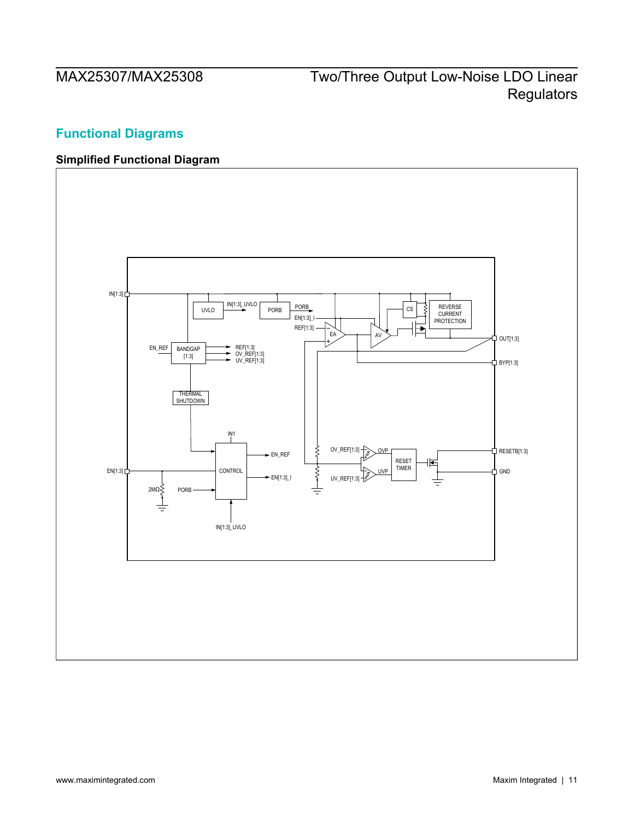# <span id="page-10-0"></span>**Functional Diagrams**

## <span id="page-10-1"></span>**Simplified Functional Diagram**

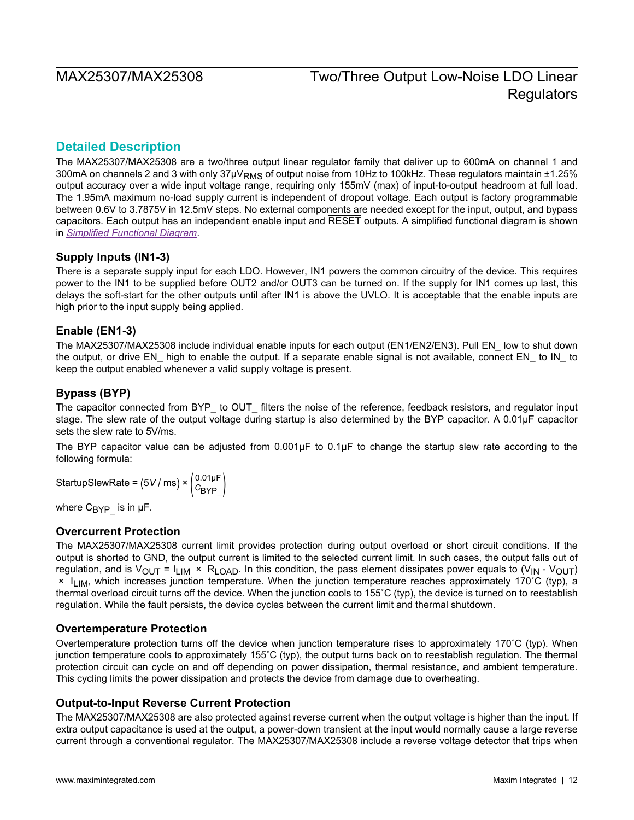## <span id="page-11-0"></span>**Detailed Description**

The MAX25307/MAX25308 are a two/three output linear regulator family that deliver up to 600mA on channel 1 and 300mA on channels 2 and 3 with only 37µVRMS of output noise from 10Hz to 100kHz. These regulators maintain ±1.25% output accuracy over a wide input voltage range, requiring only 155mV (max) of input-to-output headroom at full load. The 1.95mA maximum no-load supply current is independent of dropout voltage. Each output is factory programmable between 0.6V to 3.7875V in 12.5mV steps. No external components are needed except for the input, output, and bypass capacitors. Each output has an independent enable input and RESET outputs. A simplified functional diagram is shown in *[Simplified Functional Diagram](#page-10-1)*.

### <span id="page-11-1"></span>**Supply Inputs (IN1-3)**

There is a separate supply input for each LDO. However, IN1 powers the common circuitry of the device. This requires power to the IN1 to be supplied before OUT2 and/or OUT3 can be turned on. If the supply for IN1 comes up last, this delays the soft-start for the other outputs until after IN1 is above the UVLO. It is acceptable that the enable inputs are high prior to the input supply being applied.

### <span id="page-11-2"></span>**Enable (EN1-3)**

The MAX25307/MAX25308 include individual enable inputs for each output (EN1/EN2/EN3). Pull EN\_ low to shut down the output, or drive EN high to enable the output. If a separate enable signal is not available, connect EN to IN to keep the output enabled whenever a valid supply voltage is present.

### <span id="page-11-3"></span>**Bypass (BYP)**

The capacitor connected from BYP\_ to OUT\_ filters the noise of the reference, feedback resistors, and regulator input stage. The slew rate of the output voltage during startup is also determined by the BYP capacitor. A 0.01μF capacitor sets the slew rate to 5V/ms.

The BYP capacitor value can be adjusted from 0.001μF to 0.1μF to change the startup slew rate according to the following formula:

StartupSlewRate = (5*V /* ms) ×  $\left(\frac{0.01 \text{ }\mu\text{F}}{C_{\text{BYP}}}\right)$ *C*BYP\_)

where  $C_{BYP}$  is in  $\mu$ F.

### <span id="page-11-4"></span>**Overcurrent Protection**

The MAX25307/MAX25308 current limit provides protection during output overload or short circuit conditions. If the output is shorted to GND, the output current is limited to the selected current limit. In such cases, the output falls out of regulation, and is  $V_{\text{OUT}} = I_{\text{LIM}} \times R_{\text{LOAD}}$ . In this condition, the pass element dissipates power equals to (V<sub>IN</sub> - V<sub>OUT</sub>) × ILIM, which increases junction temperature. When the junction temperature reaches approximately 170˚C (typ), a thermal overload circuit turns off the device. When the junction cools to 155˚C (typ), the device is turned on to reestablish regulation. While the fault persists, the device cycles between the current limit and thermal shutdown.

### <span id="page-11-5"></span>**Overtemperature Protection**

Overtemperature protection turns off the device when junction temperature rises to approximately 170˚C (typ). When junction temperature cools to approximately 155˚C (typ), the output turns back on to reestablish regulation. The thermal protection circuit can cycle on and off depending on power dissipation, thermal resistance, and ambient temperature. This cycling limits the power dissipation and protects the device from damage due to overheating.

### <span id="page-11-6"></span>**Output-to-Input Reverse Current Protection**

The MAX25307/MAX25308 are also protected against reverse current when the output voltage is higher than the input. If extra output capacitance is used at the output, a power-down transient at the input would normally cause a large reverse current through a conventional regulator. The MAX25307/MAX25308 include a reverse voltage detector that trips when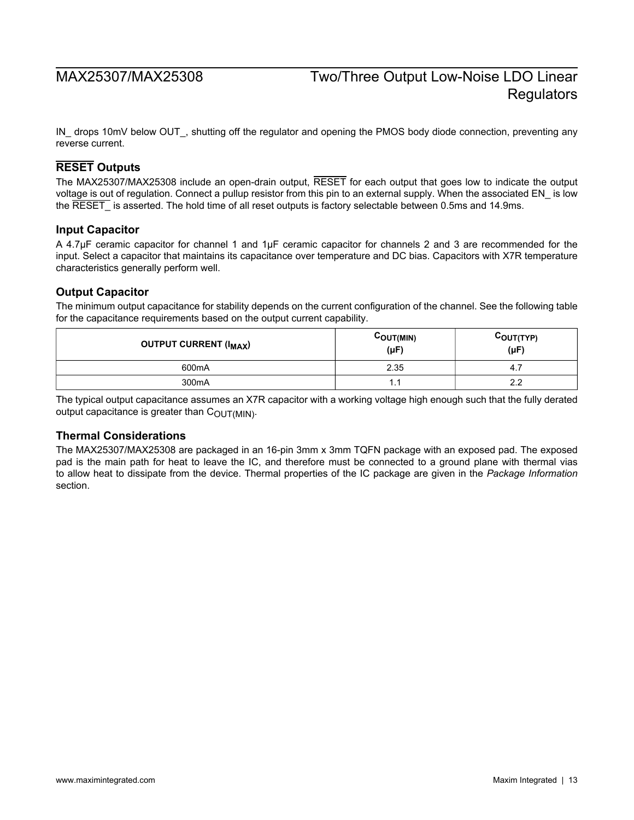IN\_ drops 10mV below OUT\_, shutting off the regulator and opening the PMOS body diode connection, preventing any reverse current.

### <span id="page-12-0"></span>**RESET Outputs**

The MAX25307/MAX25308 include an open-drain output, RESET for each output that goes low to indicate the output voltage is out of regulation. Connect a pullup resistor from this pin to an external supply. When the associated EN\_ is low the RESET is asserted. The hold time of all reset outputs is factory selectable between 0.5ms and 14.9ms.

### <span id="page-12-1"></span>**Input Capacitor**

A 4.7μF ceramic capacitor for channel 1 and 1μF ceramic capacitor for channels 2 and 3 are recommended for the input. Select a capacitor that maintains its capacitance over temperature and DC bias. Capacitors with X7R temperature characteristics generally perform well.

### <span id="page-12-2"></span>**Output Capacitor**

The minimum output capacitance for stability depends on the current configuration of the channel. See the following table for the capacitance requirements based on the output current capability.

| <b>OUTPUT CURRENT (I<sub>MAX</sub>)</b> | COUT(MIN)<br>$(\mu F)$ | $C_{\text{OUT}(\text{TYPE})}$<br>$(\mu F)$ |
|-----------------------------------------|------------------------|--------------------------------------------|
| 600 <sub>m</sub> A                      | 2.35                   | 4.7                                        |
| 300 <sub>m</sub> A                      | . .                    | 2.2                                        |

The typical output capacitance assumes an X7R capacitor with a working voltage high enough such that the fully derated output capacitance is greater than  $C_{\text{OUT(MIN)}}$ .

### <span id="page-12-3"></span>**Thermal Considerations**

The MAX25307/MAX25308 are packaged in an 16-pin 3mm x 3mm TQFN package with an exposed pad. The exposed pad is the main path for heat to leave the IC, and therefore must be connected to a ground plane with thermal vias to allow heat to dissipate from the device. Thermal properties of the IC package are given in the *Package Information* section.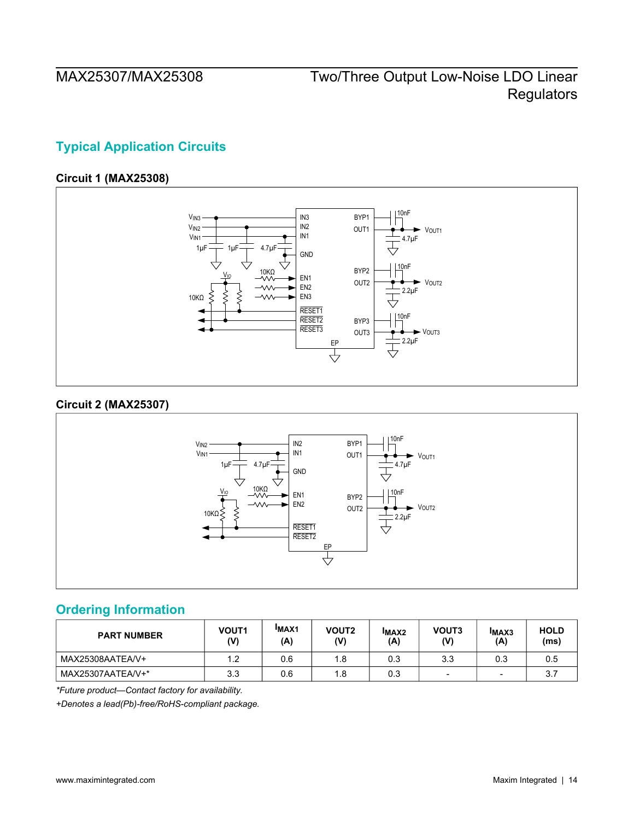# <span id="page-13-0"></span>**Typical Application Circuits**

### **Circuit 1 (MAX25308)**

<span id="page-13-1"></span>

## **Circuit 2 (MAX25307)**

<span id="page-13-2"></span>

## <span id="page-13-3"></span>**Ordering Information**

| <b>PART NUMBER</b> | VOUT <sub>1</sub><br>(V) | <b>IMAX1</b><br>(A) | <b>VOUT2</b><br>(V) | <b>IMAX2</b><br>(A) | VOUT3<br>(V) | <b>IMAX3</b><br>(A) | <b>HOLD</b><br>(ms) |
|--------------------|--------------------------|---------------------|---------------------|---------------------|--------------|---------------------|---------------------|
| MAX25308AATEA/V+   | l.2                      | 0.6                 | 1.8                 | 0.3                 | 3.3          | 0.3                 | 0.5                 |
| MAX25307AATEA/V+*  | 3.3                      | 0.6                 | 1.8                 | 0.3                 | -            | $\sim$              | ن ب                 |

*\*Future product—Contact factory for availability.*

*+Denotes a lead(Pb)-free/RoHS-compliant package.*